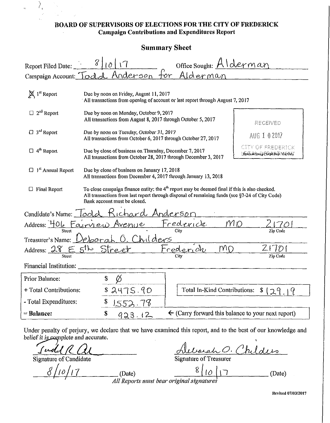## **BOARD OF SUPERVISORS OF ELECTIONS FOR THE CITY OF FREDERICK Campaign Contributions and Expenditures Report**

## **Summary Sheet**

| 8<br>Office Sought: Alderman<br>10<br>Report Filed Date:<br>Campaign Account: Todd Anderson<br>$+or$<br>Alderman |                                                                                                                                                                                                                                   |                                                                |    |                                                            |  |
|------------------------------------------------------------------------------------------------------------------|-----------------------------------------------------------------------------------------------------------------------------------------------------------------------------------------------------------------------------------|----------------------------------------------------------------|----|------------------------------------------------------------|--|
| X 1 <sup>st</sup> Report                                                                                         | Due by noon on Friday, August 11, 2017<br>All transactions from opening of account or last report through August 7, 2017                                                                                                          |                                                                |    |                                                            |  |
| $\Box$ 2 <sup>nd</sup> Report                                                                                    | Due by noon on Monday, October 9, 2017<br>All transactions from August 8, 2017 through October 5, 2017                                                                                                                            |                                                                |    | RECEIVED                                                   |  |
| $\Box$ 3 <sup>rd</sup> Report                                                                                    | Due by noon on Tuesday, October 31, 2017                                                                                                                                                                                          | All transactions from October 6, 2017 through October 27, 2017 |    | AUG 1 0 2017                                               |  |
| $\Box$ 4 <sup>th</sup> Report                                                                                    | Due by close of business on Thursday, December 7, 2017<br>All transactions from October 28, 2017 through December 3, 2017                                                                                                         |                                                                |    | <b>CITY OF FREDERICK</b><br>Revel A State HRyA Bell AL Ouy |  |
| $\Box$ 1 <sup>st</sup> Annual Report                                                                             | Due by close of business on January 17, 2018<br>All transactions from December 4, 2017 through January 13, 2018                                                                                                                   |                                                                |    |                                                            |  |
| $\Box$ Final Report                                                                                              | To close campaign finance entity; the $4th$ report may be deemed final if this is also checked.<br>All transactions from last report through disposal of remaining funds (see §7-24 of City Code)<br>Bank account must be closed. |                                                                |    |                                                            |  |
| Candidate's Name: Toold Richard Anderson                                                                         |                                                                                                                                                                                                                                   |                                                                |    |                                                            |  |
|                                                                                                                  | Address: 406 Fairview Avenue Fredevick                                                                                                                                                                                            |                                                                | MD | Zin Code                                                   |  |
| Treasurer's Name: Deborah O. Childers                                                                            |                                                                                                                                                                                                                                   |                                                                |    |                                                            |  |
| Address: 28 E 5th Street                                                                                         |                                                                                                                                                                                                                                   | Frederich                                                      | MO | 2170                                                       |  |
| Financial Institution:                                                                                           |                                                                                                                                                                                                                                   |                                                                |    | Zip Code                                                   |  |
|                                                                                                                  |                                                                                                                                                                                                                                   |                                                                |    |                                                            |  |
| Prior Balance:                                                                                                   | Ø                                                                                                                                                                                                                                 |                                                                |    |                                                            |  |
| + Total Contributions:                                                                                           | 82475.90                                                                                                                                                                                                                          | Total In-Kind Contributions:<br>\$129<br>9                     |    |                                                            |  |
| - Total Expenditures:                                                                                            | 1552.78                                                                                                                                                                                                                           |                                                                |    |                                                            |  |
| = Balance:                                                                                                       | $\mathbb S$<br>923.12                                                                                                                                                                                                             | $\leftarrow$ (Carry forward this balance to your next report)  |    |                                                            |  |

Under penalty of perjury, we declare that we have examined this report, and to the best of our knowledge and belief it is complete and accurate.

 $I$ udd $KU$ 

hildis sah

') , ,

 $\hat{\mathbf{q}}$ 

Signature of Candidate Signature of Treasurer Signature of Candidate Signature of Treasure<br>  $\frac{\delta/10/17}{\sqrt{10}}$  (Date) g { | 0 | 1 7 *All Reports must bear original signatures* (Date)

Revised 07/03/2017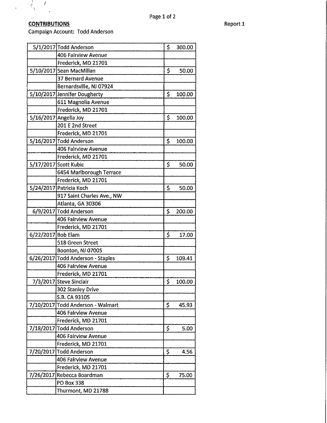### **CONTRIBUTIONS** Report 1

 $\sqrt{2}$ 

 $\mathcal{L}_{\chi}$  $\sqrt{ }$ 

Campaign Account: Todd Anderson

|                    | 5/1/2017 Todd Anderson            | \$  | 300.00 |
|--------------------|-----------------------------------|-----|--------|
|                    | 406 Fairview Avenue               |     |        |
|                    | Frederick, MD 21701               |     |        |
|                    | 5/10/2017 Sean MacMillan          | \$  | 50.00  |
|                    | <b>37 Bernard Avenue</b>          |     |        |
|                    | Bernardsville, NJ 07924           |     |        |
|                    | 5/10/2017 Jennifer Dougherty      | \$  | 100.00 |
|                    | 611 Magnolia Avenue               |     |        |
|                    | Frederick, MD 21701               |     |        |
|                    | 5/16/2017 Angelia Joy             | \$  | 100.00 |
|                    | 201 E 2nd Street                  |     |        |
|                    | Frederick, MD 21701               |     |        |
|                    | 5/16/2017 Todd Anderson           | \$  | 100.00 |
|                    | 406 Fairview Avenue               |     |        |
|                    | Frederick, MD 21701               |     |        |
|                    | 5/17/2017 Scott Kubic             | \$  | 50.00  |
|                    | 6454 Mariborough Terrace          |     |        |
|                    | Frederick, MD 21701               |     |        |
|                    | 5/24/2017 Patricia Koch           | \$  | 50.00  |
|                    | 917 Saint Charles Ave., NW        |     |        |
|                    | Atlanta, GA 30306                 |     |        |
|                    | 6/9/2017 Todd Anderson            | \$  | 200.00 |
|                    | 406 Fairview Avenue               |     |        |
|                    | Frederick, MD 21701               |     |        |
| 6/22/2017 Bob Elam |                                   | \$  | 17.00  |
|                    | 518 Green Street                  |     |        |
|                    | Boonton, NJ 07005                 |     |        |
|                    | 6/26/2017 Todd Anderson - Staples | \$  | 109.41 |
|                    | 406 Fairview Avenue               |     |        |
|                    | Frederick, MD 21701               |     |        |
|                    | 7/3/2017 Steve Sinclair           | \$  | 100.00 |
|                    | 302 Stanley Drive                 |     |        |
|                    | S.B. CA 93105                     |     |        |
|                    | 7/10/2017 Todd Anderson - Walmart | \$. | 45.93  |
|                    | <b>406 Fairview Avenue</b>        |     |        |
|                    | Frederick, MD 21701               |     |        |
|                    | 7/18/2017 Todd Anderson           | Ş   | 5.00   |
|                    | 406 Fairview Avenue               |     |        |
|                    | Frederick, MD 21701               |     |        |
|                    | 7/20/2017 Todd Anderson           | \$  | 4.56   |
|                    | 406 Fairview Avenue               |     |        |
|                    | Frederick, MD 21701               |     |        |
|                    | 7/26/2017 Rebecca Boardman        | \$  | 75.00  |
|                    | PO Box 338                        |     |        |
|                    | Thurmont, MD 21788                |     |        |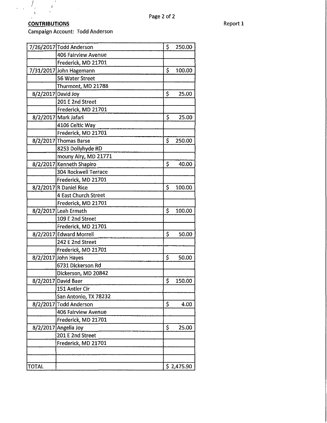## **CONTRIBUTIONS** Report 1

 $\bar{t}$ 

 $\hat{\mathbf{r}}$ 

 $\mathcal{F}_{\mu}$ 

 $\mathbf{t}$ 

 $\lambda = \lambda$ 

Campaign Account: Todd Anderson

 $\frac{1}{2}$ 

|                    | 7/26/2017 Todd Anderson     | \$<br>250.00 |
|--------------------|-----------------------------|--------------|
|                    | 406 Fairview Avenue         |              |
|                    | Frederick, MD 21701         |              |
|                    | 7/31/2017 John Hagemann     | \$<br>100.00 |
|                    | 56 Water Street             |              |
|                    | Thurmont, MD 21788          |              |
| 8/2/2017 David Joy |                             | \$<br>25.00  |
|                    | 201 E 2nd Street            |              |
|                    | Frederick, MD 21701         |              |
|                    | 8/2/2017 Mark Jafari        | \$<br>25.00  |
|                    | 4106 Celtic Way             |              |
|                    | Frederick, MD 21701         |              |
|                    | 8/2/2017 Thomas Barse       | \$<br>250.00 |
|                    | 8253 Dollyhyde RD           |              |
|                    | mouny Airy, MD 21771        |              |
|                    | 8/2/2017 Kenneth Shapiro    | \$<br>40.00  |
|                    | <b>304 Rockwell Terrace</b> |              |
|                    | Frederick, MD 21701         |              |
|                    | 8/2/2017 R Daniel Rice      | \$<br>100.00 |
|                    | 4 East Church Street        |              |
|                    | Frederick, MD 21701         |              |
|                    | 8/2/2017 Leah Ermath        | \$<br>100.00 |
|                    | 109 E 2nd Street            |              |
|                    | Frederick, MD 21701         |              |
|                    | 8/2/2017 Edward Morrell     | \$<br>50.00  |
|                    | 242 E 2nd Street            |              |
|                    | Frederick, MD 21701         |              |
|                    | 8/2/2017 John Hayes         | \$<br>50.00  |
|                    | 6731 Dickerson Rd           |              |
|                    | Dickerson, MD 20842         |              |
|                    | 8/2/2017 David Baer         | \$<br>150.00 |
|                    | 151 Antler Cir              |              |
|                    | San Antonio, TX 78232       |              |
|                    | 8/2/2017 Todd Anderson      | \$<br>4.00   |
|                    | 406 Fairview Avenue         |              |
|                    | Frederick, MD 21701         |              |
|                    | 8/2/2017 Angelia Joy        | \$<br>25.00  |
|                    | 201 E 2nd Street            |              |
|                    | Frederick, MD 21701         |              |
|                    |                             |              |
|                    |                             |              |
| TOTAL              |                             | \$2,475.90   |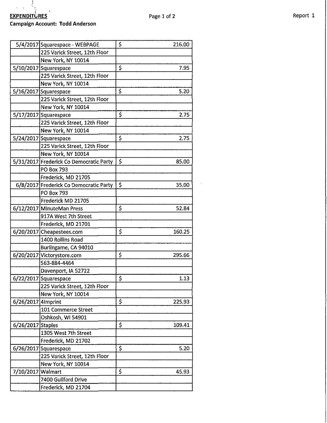#### Campaign Account: **Todd** Anderson

|                    | 5/4/2017 Squarespace - WEBPAGE          | \$<br>216.00 |
|--------------------|-----------------------------------------|--------------|
|                    | 225 Varick Street, 12th Floor           |              |
|                    | New York, NY 10014                      |              |
|                    | 5/10/2017 Squarespace                   | \$<br>7.95   |
|                    | 225 Varick Street, 12th Floor           |              |
|                    | New York, NY 10014                      |              |
|                    | 5/16/2017 Squarespace                   | \$<br>5.20   |
|                    | 225 Varick Street, 12th Floor           |              |
|                    | New York, NY 10014                      |              |
|                    | 5/17/2017 Squarespace                   | \$<br>2.75   |
|                    | 225 Varick Street, 12th Floor           |              |
|                    | New York, NY 10014                      |              |
|                    | 5/24/2017 Squarespace                   | \$<br>2.75   |
|                    | 225 Varick Street, 12th Floor           |              |
|                    | New York, NY 10014                      |              |
|                    | 5/31/2017 Frederick Co Democratic Party | \$<br>85.00  |
|                    | PO Box 793                              |              |
|                    | Frederick, MD 21705                     |              |
|                    | 6/8/2017 Frederick Co Democratic Party  | \$<br>35.00  |
|                    | <b>PO Box 793</b>                       |              |
|                    | Frederick MD 21705                      |              |
|                    | 6/12/2017 MinuteMan Press               | \$<br>52.84  |
|                    | 917A West 7th Street                    |              |
|                    | Frederick, MD 21701                     |              |
|                    | 6/20/2017 Cheapestees.com               | \$<br>160.25 |
|                    | 1400 Rollins Road                       |              |
|                    | Burlingame, CA 94010                    |              |
|                    | 6/20/2017 Victorystore.com              | \$<br>295.66 |
|                    | 563-884-4464                            |              |
|                    | Davenport, IA 52722                     |              |
|                    | 6/22/2017 Squarespace                   | \$<br>1.13   |
|                    | 225 Varick Street, 12th Floor           |              |
|                    | New York, NY 10014                      |              |
| 6/26/2017 4Imprint |                                         | \$<br>225,93 |
|                    | 101 Commerce Street                     |              |
|                    | Oshkosh, WI 54901                       |              |
| 6/26/2017 Staples  |                                         | \$<br>109.41 |
|                    | 1305 West 7th Street                    |              |
|                    | Frederick, MD 21702                     |              |
|                    | 6/26/2017 Squarespace                   | \$<br>5.20   |
|                    | 225 Varick Street, 12th Floor           |              |
|                    | New York, NY 10014                      |              |
| 7/10/2017 Walmart  |                                         | \$<br>45.93  |
|                    | 7400 Guilford Drive                     |              |
|                    | Frederick, MD 21704                     |              |

 $\bar{a}$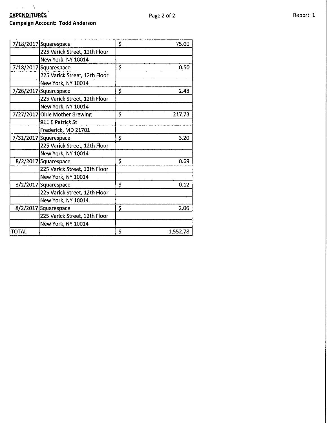# , i.e.  $\sim 3$ **EXPENDITURES** Report 1

## **Campaign Account: Todd Anderson**

|       | 7/18/2017 Squarespace         | \$<br>75.00    |
|-------|-------------------------------|----------------|
|       | 225 Varick Street, 12th Floor |                |
|       | New York, NY 10014            |                |
|       | 7/18/2017 Squarespace         | \$<br>0.50     |
|       | 225 Varick Street, 12th Floor |                |
|       | New York, NY 10014            |                |
|       | 7/26/2017 Squarespace         | \$<br>2.48     |
|       | 225 Varick Street, 12th Floor |                |
|       | New York, NY 10014            |                |
|       | 7/27/2017 Olde Mother Brewing | \$<br>217.73   |
|       | 911 E Patrick St              |                |
|       | Frederick, MD 21701           |                |
|       | 7/31/2017 Squarespace         | \$<br>3.20     |
|       | 225 Varick Street, 12th Floor |                |
|       | New York, NY 10014            |                |
|       | 8/2/2017 Squarespace          | \$<br>0.69     |
|       | 225 Varick Street, 12th Floor |                |
|       | New York, NY 10014            |                |
|       | 8/2/2017 Squarespace          | \$<br>0.12     |
|       | 225 Varick Street, 12th Floor |                |
|       | New York, NY 10014            |                |
|       | 8/2/2017 Squarespace          | \$<br>2.06     |
|       | 225 Varick Street, 12th Floor |                |
|       | New York, NY 10014            |                |
| TOTAL |                               | \$<br>1,552.78 |